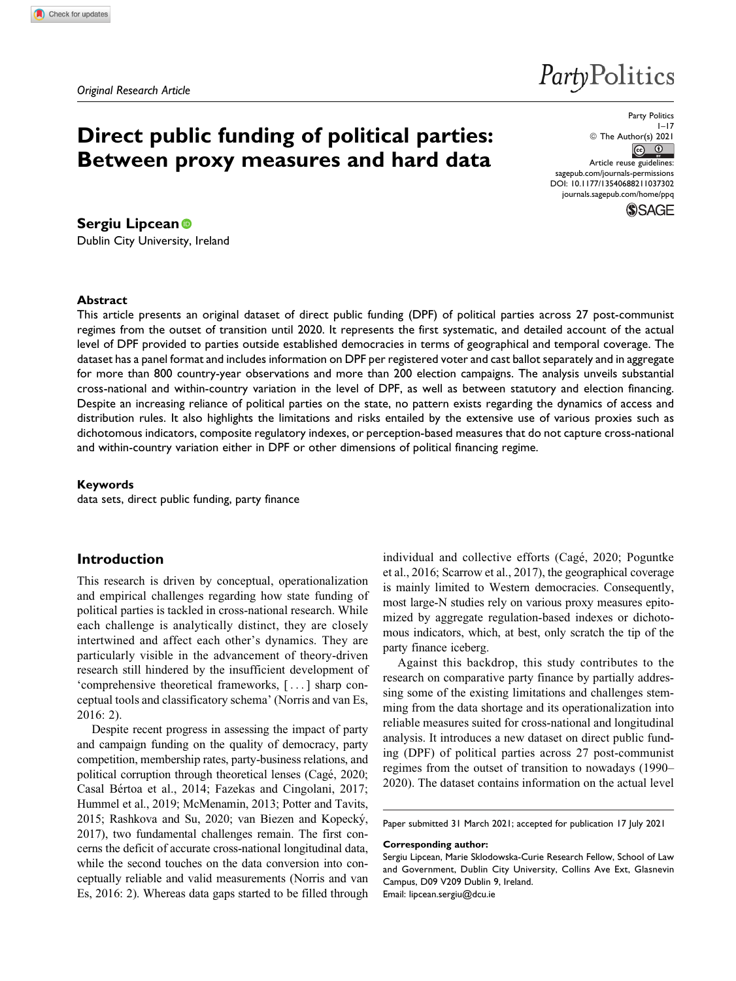# **Direct public funding of political parties: Between proxy measures and hard data**

Party Politics  $1 - 17$ © The Author(s) 2021  $\circledcirc$ Article reuse guidelines: [sagepub.com/journals-permissions](https://sagepub.com/journals-permissions) [DOI: 10.1177/13540688211037302](https://doi.org/10.1177/13540688211037302) [journals.sagepub.com/home/ppq](http://journals.sagepub.com/home/ppq)

PartyPolitics



## **Sergiu Lipcean**

Dublin City University, Ireland

#### **Abstract**

This article presents an original dataset of direct public funding (DPF) of political parties across 27 post-communist regimes from the outset of transition until 2020. It represents the first systematic, and detailed account of the actual level of DPF provided to parties outside established democracies in terms of geographical and temporal coverage. The dataset has a panel format and includes information on DPF per registered voter and cast ballot separately and in aggregate for more than 800 country-year observations and more than 200 election campaigns. The analysis unveils substantial cross-national and within-country variation in the level of DPF, as well as between statutory and election financing. Despite an increasing reliance of political parties on the state, no pattern exists regarding the dynamics of access and distribution rules. It also highlights the limitations and risks entailed by the extensive use of various proxies such as dichotomous indicators, composite regulatory indexes, or perception-based measures that do not capture cross-national and within-country variation either in DPF or other dimensions of political financing regime.

### **Keywords**

data sets, direct public funding, party finance

## **Introduction**

This research is driven by conceptual, operationalization and empirical challenges regarding how state funding of political parties is tackled in cross-national research. While each challenge is analytically distinct, they are closely intertwined and affect each other's dynamics. They are particularly visible in the advancement of theory-driven research still hindered by the insufficient development of 'comprehensive theoretical frameworks, [... ] sharp conceptual tools and classificatory schema' [\(Norris and van Es,](#page-15-0) [2016](#page-15-0): 2).

Despite recent progress in assessing the impact of party and campaign funding on the quality of democracy, party competition, membership rates, party-business relations, and political corruption through theoretical lenses ([Cag](#page-14-0)é, 2020; [Casal B](#page-14-0)é[rtoa et al., 2014](#page-14-0); [Fazekas and Cingolani, 2017](#page-14-0); [Hummel et al., 2019;](#page-14-0) [McMenamin, 2013](#page-15-0); [Potter and Tavits,](#page-15-0) [2015; Rashkova and Su, 2020;](#page-15-0) [van Biezen and Kopecky´,](#page-16-0) [2017\)](#page-16-0), two fundamental challenges remain. The first concerns the deficit of accurate cross-national longitudinal data, while the second touches on the data conversion into conceptually reliable and valid measurements ([Norris and van](#page-15-0) [Es, 2016:](#page-15-0) 2). Whereas data gaps started to be filled through individual and collective efforts ([Cag](#page-14-0)é, 2020; [Poguntke](#page-15-0) [et al., 2016;](#page-15-0) Scarrow et al., 2017), the geographical coverage is mainly limited to Western democracies. Consequently, most large-N studies rely on various proxy measures epitomized by aggregate regulation-based indexes or dichotomous indicators, which, at best, only scratch the tip of the party finance iceberg.

Against this backdrop, this study contributes to the research on comparative party finance by partially addressing some of the existing limitations and challenges stemming from the data shortage and its operationalization into reliable measures suited for cross-national and longitudinal analysis. It introduces a new dataset on direct public funding (DPF) of political parties across 27 post-communist regimes from the outset of transition to nowadays (1990– 2020). The dataset contains information on the actual level

Paper submitted 31 March 2021; accepted for publication 17 July 2021

#### **Corresponding author:**

Sergiu Lipcean, Marie Sklodowska-Curie Research Fellow, School of Law and Government, Dublin City University, Collins Ave Ext, Glasnevin Campus, D09 V209 Dublin 9, Ireland. Email: [lipcean.sergiu@dcu.ie](mailto:lipcean.sergiu@dcu.ie)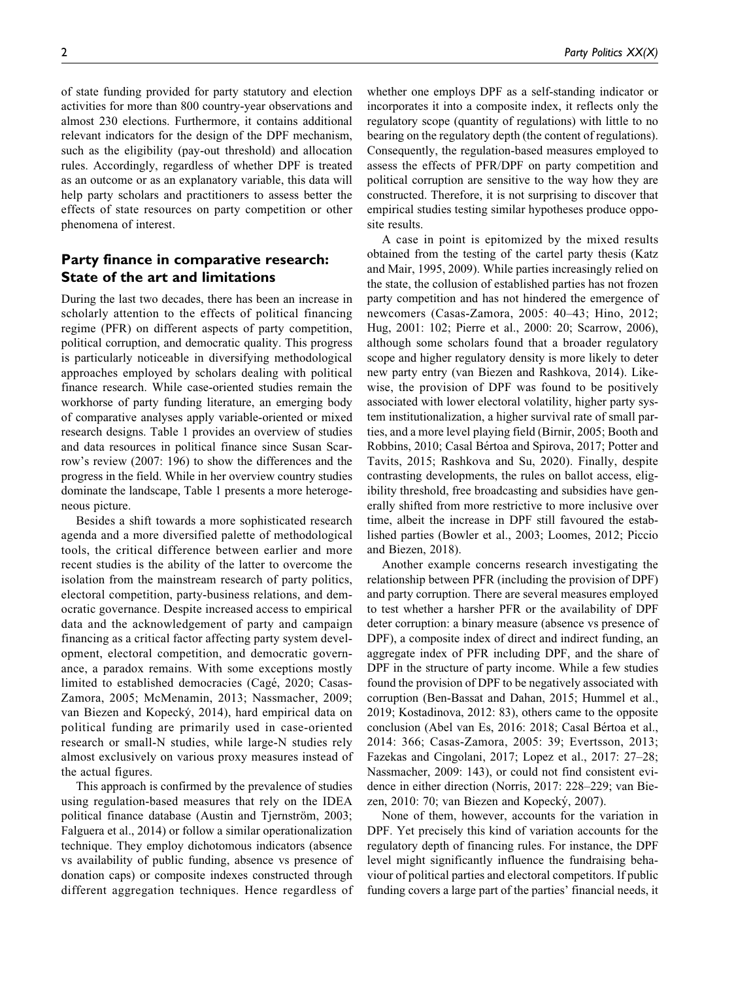of state funding provided for party statutory and election activities for more than 800 country-year observations and almost 230 elections. Furthermore, it contains additional relevant indicators for the design of the DPF mechanism, such as the eligibility (pay-out threshold) and allocation rules. Accordingly, regardless of whether DPF is treated as an outcome or as an explanatory variable, this data will help party scholars and practitioners to assess better the effects of state resources on party competition or other phenomena of interest.

# **Party finance in comparative research: State of the art and limitations**

During the last two decades, there has been an increase in scholarly attention to the effects of political financing regime (PFR) on different aspects of party competition, political corruption, and democratic quality. This progress is particularly noticeable in diversifying methodological approaches employed by scholars dealing with political finance research. While case-oriented studies remain the workhorse of party funding literature, an emerging body of comparative analyses apply variable-oriented or mixed research designs. [Table 1](#page-2-0) provides an overview of studies and data resources in political finance since Susan Scarrow's review (2007: 196) to show the differences and the progress in the field. While in her overview country studies dominate the landscape, [Table 1](#page-2-0) presents a more heterogeneous picture.

Besides a shift towards a more sophisticated research agenda and a more diversified palette of methodological tools, the critical difference between earlier and more recent studies is the ability of the latter to overcome the isolation from the mainstream research of party politics, electoral competition, party-business relations, and democratic governance. Despite increased access to empirical data and the acknowledgement of party and campaign financing as a critical factor affecting party system development, electoral competition, and democratic governance, a paradox remains. With some exceptions mostly limited to established democracies [\(Cag](#page-14-0)é, 2020; [Casas-](#page-14-0)[Zamora, 2005](#page-14-0); [McMenamin, 2013](#page-15-0); [Nassmacher, 2009](#page-15-0); [van Biezen and Kopecky´, 2014](#page-16-0)), hard empirical data on political funding are primarily used in case-oriented research or small-N studies, while large-N studies rely almost exclusively on various proxy measures instead of the actual figures.

This approach is confirmed by the prevalence of studies using regulation-based measures that rely on the IDEA political finance database (Austin and Tiernström, 2003; [Falguera et al., 2014](#page-14-0)) or follow a similar operationalization technique. They employ dichotomous indicators (absence vs availability of public funding, absence vs presence of donation caps) or composite indexes constructed through different aggregation techniques. Hence regardless of whether one employs DPF as a self-standing indicator or incorporates it into a composite index, it reflects only the regulatory scope (quantity of regulations) with little to no bearing on the regulatory depth (the content of regulations). Consequently, the regulation-based measures employed to assess the effects of PFR/DPF on party competition and political corruption are sensitive to the way how they are constructed. Therefore, it is not surprising to discover that empirical studies testing similar hypotheses produce opposite results.

A case in point is epitomized by the mixed results obtained from the testing of the cartel party thesis [\(Katz](#page-15-0) [and Mair, 1995](#page-15-0), [2009\)](#page-15-0). While parties increasingly relied on the state, the collusion of established parties has not frozen party competition and has not hindered the emergence of newcomers ([Casas-Zamora, 2005:](#page-14-0) 40–43; [Hino, 2012](#page-14-0); [Hug, 2001:](#page-14-0) 102; [Pierre et al., 2000](#page-15-0): 20; [Scarrow, 2006](#page-15-0)), although some scholars found that a broader regulatory scope and higher regulatory density is more likely to deter new party entry [\(van Biezen and Rashkova, 2014\)](#page-16-0). Likewise, the provision of DPF was found to be positively associated with lower electoral volatility, higher party system institutionalization, a higher survival rate of small parties, and a more level playing field ([Birnir, 2005](#page-14-0); [Booth and](#page-14-0) [Robbins, 2010](#page-14-0); [Casal B](#page-14-0)értoa and Spirova, 2017; [Potter and](#page-15-0) [Tavits, 2015; Rashkova and Su, 2020\)](#page-15-0). Finally, despite contrasting developments, the rules on ballot access, eligibility threshold, free broadcasting and subsidies have generally shifted from more restrictive to more inclusive over time, albeit the increase in DPF still favoured the established parties [\(Bowler et al., 2003](#page-14-0); [Loomes, 2012; Piccio](#page-15-0) [and Biezen, 2018\)](#page-15-0).

Another example concerns research investigating the relationship between PFR (including the provision of DPF) and party corruption. There are several measures employed to test whether a harsher PFR or the availability of DPF deter corruption: a binary measure (absence vs presence of DPF), a composite index of direct and indirect funding, an aggregate index of PFR including DPF, and the share of DPF in the structure of party income. While a few studies found the provision of DPF to be negatively associated with corruption ([Ben-Bassat and Dahan, 2015; Hummel et al.,](#page-14-0) [2019](#page-14-0); [Kostadinova, 2012](#page-15-0): 83), others came to the opposite conclusion [\(Abel van Es, 2016:](#page-14-0) 2018; [Casal B](#page-14-0)értoa et al., [2014](#page-14-0): 366; [Casas-Zamora, 2005](#page-14-0): 39; [Evertsson, 2013](#page-14-0); [Fazekas and Cingolani, 2017;](#page-14-0) [Lopez et al., 2017:](#page-15-0) 27–28; [Nassmacher, 2009:](#page-15-0) 143), or could not find consistent evidence in either direction ([Norris, 2017](#page-15-0): 228–229; [van Bie](#page-15-0)[zen, 2010:](#page-15-0) 70; van Biezen and Kopecký, 2007).

None of them, however, accounts for the variation in DPF. Yet precisely this kind of variation accounts for the regulatory depth of financing rules. For instance, the DPF level might significantly influence the fundraising behaviour of political parties and electoral competitors. If public funding covers a large part of the parties' financial needs, it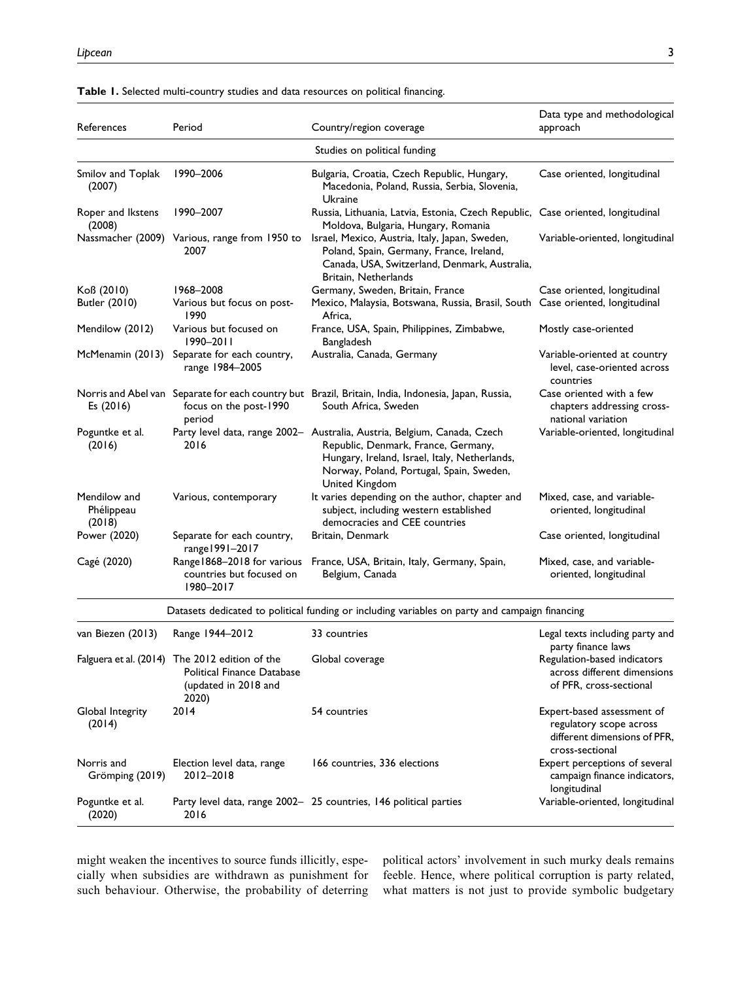| References                           | Period                                                                                                        | Country/region coverage                                                                                                                                                                                                        | Data type and methodological<br>approach                                                                 |
|--------------------------------------|---------------------------------------------------------------------------------------------------------------|--------------------------------------------------------------------------------------------------------------------------------------------------------------------------------------------------------------------------------|----------------------------------------------------------------------------------------------------------|
|                                      |                                                                                                               | Studies on political funding                                                                                                                                                                                                   |                                                                                                          |
| Smilov and Toplak<br>(2007)          | 1990-2006                                                                                                     | Bulgaria, Croatia, Czech Republic, Hungary,<br>Macedonia, Poland, Russia, Serbia, Slovenia,<br>Ukraine                                                                                                                         | Case oriented, longitudinal                                                                              |
| Roper and Ikstens<br>(2008)          | 1990-2007                                                                                                     | Russia, Lithuania, Latvia, Estonia, Czech Republic, Case oriented, longitudinal<br>Moldova, Bulgaria, Hungary, Romania                                                                                                         |                                                                                                          |
|                                      | Nassmacher (2009) Various, range from 1950 to<br>2007                                                         | Israel, Mexico, Austria, Italy, Japan, Sweden,<br>Poland, Spain, Germany, France, Ireland,<br>Canada, USA, Switzerland, Denmark, Australia,<br>Britain, Netherlands                                                            | Variable-oriented, longitudinal                                                                          |
| Koß (2010)<br>Butler (2010)          | 1968-2008<br>Various but focus on post-<br>1990                                                               | Germany, Sweden, Britain, France<br>Mexico, Malaysia, Botswana, Russia, Brasil, South Case oriented, longitudinal<br>Africa.                                                                                                   | Case oriented, longitudinal                                                                              |
| Mendilow (2012)                      | Various but focused on<br>$1990 - 2011$                                                                       | France, USA, Spain, Philippines, Zimbabwe,<br>Bangladesh                                                                                                                                                                       | Mostly case-oriented                                                                                     |
| McMenamin (2013)                     | Separate for each country,<br>range 1984-2005                                                                 | Australia, Canada, Germany                                                                                                                                                                                                     | Variable-oriented at country<br>level, case-oriented across<br>countries                                 |
| Es $(2016)$                          | focus on the post-1990<br>period                                                                              | Norris and Abel van Separate for each country but Brazil, Britain, India, Indonesia, Japan, Russia,<br>South Africa, Sweden                                                                                                    | Case oriented with a few<br>chapters addressing cross-<br>national variation                             |
| Poguntke et al.<br>(2016)            | 2016                                                                                                          | Party level data, range 2002- Australia, Austria, Belgium, Canada, Czech<br>Republic, Denmark, France, Germany,<br>Hungary, Ireland, Israel, Italy, Netherlands,<br>Norway, Poland, Portugal, Spain, Sweden,<br>United Kingdom | Variable-oriented, longitudinal                                                                          |
| Mendilow and<br>Phélippeau<br>(2018) | Various, contemporary                                                                                         | It varies depending on the author, chapter and<br>subject, including western established<br>democracies and CEE countries                                                                                                      | Mixed, case, and variable-<br>oriented, longitudinal                                                     |
| Power (2020)                         | Separate for each country,<br>range 1991-2017                                                                 | Britain, Denmark                                                                                                                                                                                                               | Case oriented, longitudinal                                                                              |
| Cagé (2020)                          | countries but focused on<br>1980-2017                                                                         | Range1868-2018 for various France, USA, Britain, Italy, Germany, Spain,<br>Belgium, Canada                                                                                                                                     | Mixed, case, and variable-<br>oriented, longitudinal                                                     |
|                                      |                                                                                                               | Datasets dedicated to political funding or including variables on party and campaign financing                                                                                                                                 |                                                                                                          |
| van Biezen (2013)                    | Range 1944-2012                                                                                               | 33 countries                                                                                                                                                                                                                   | Legal texts including party and<br>party finance laws                                                    |
|                                      | Falguera et al. (2014) The 2012 edition of the<br>Political Finance Database<br>(updated in 2018 and<br>2020) | Global coverage                                                                                                                                                                                                                | Regulation-based indicators<br>across different dimensions<br>of PFR, cross-sectional                    |
| Global Integrity<br>(2014)           | 2014                                                                                                          | 54 countries                                                                                                                                                                                                                   | Expert-based assessment of<br>regulatory scope across<br>different dimensions of PFR,<br>cross-sectional |
| Norris and<br>Grömping (2019)        | Election level data, range<br>2012-2018                                                                       | 166 countries, 336 elections                                                                                                                                                                                                   | Expert perceptions of several<br>campaign finance indicators,<br>longitudinal                            |
| Poguntke et al.                      |                                                                                                               | Party level data, range 2002- 25 countries, 146 political parties                                                                                                                                                              | Variable-oriented, longitudinal                                                                          |

#### <span id="page-2-0"></span>**Table 1.** Selected multi-country studies and data resources on political financing.

might weaken the incentives to source funds illicitly, especially when subsidies are withdrawn as punishment for such behaviour. Otherwise, the probability of deterring

2016

[Poguntke et al.](#page-15-0) [\(2020\)](#page-15-0)

> political actors' involvement in such murky deals remains feeble. Hence, where political corruption is party related, what matters is not just to provide symbolic budgetary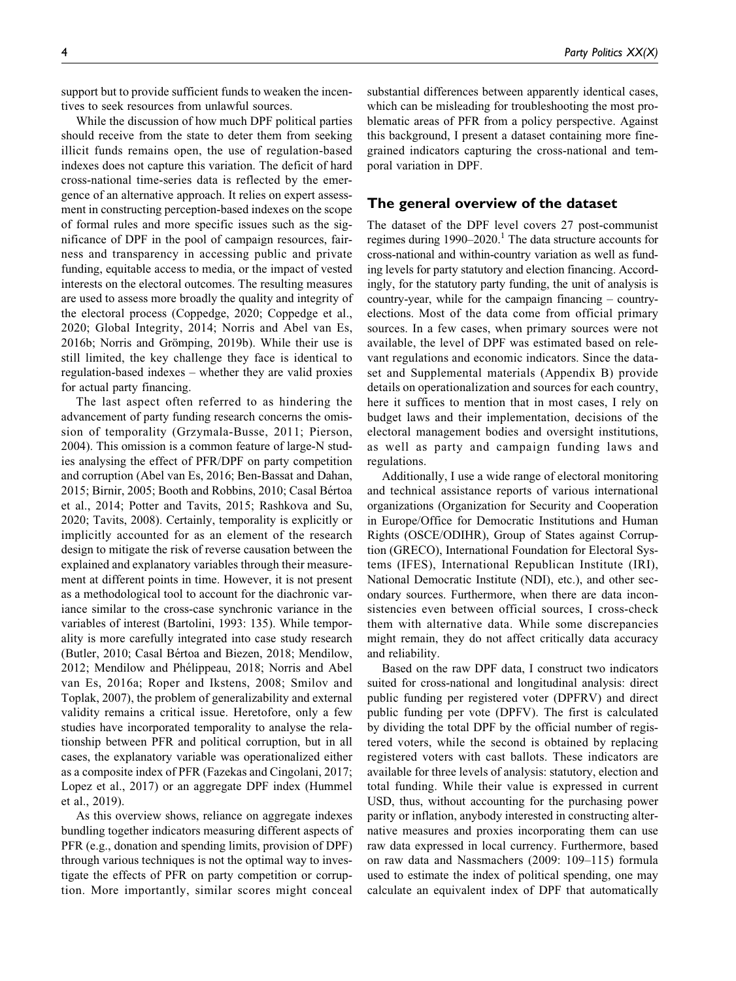support but to provide sufficient funds to weaken the incentives to seek resources from unlawful sources.

While the discussion of how much DPF political parties should receive from the state to deter them from seeking illicit funds remains open, the use of regulation-based indexes does not capture this variation. The deficit of hard cross-national time-series data is reflected by the emergence of an alternative approach. It relies on expert assessment in constructing perception-based indexes on the scope of formal rules and more specific issues such as the significance of DPF in the pool of campaign resources, fairness and transparency in accessing public and private funding, equitable access to media, or the impact of vested interests on the electoral outcomes. The resulting measures are used to assess more broadly the quality and integrity of the electoral process [\(Coppedge, 2020; Coppedge et al.,](#page-14-0) [2020](#page-14-0); [Global Integrity, 2014;](#page-14-0) [Norris and Abel van Es,](#page-15-0) [2016b](#page-15-0); Norris and Grömping, 2019b). While their use is still limited, the key challenge they face is identical to regulation-based indexes – whether they are valid proxies for actual party financing.

The last aspect often referred to as hindering the advancement of party funding research concerns the omission of temporality ([Grzymala-Busse, 2011;](#page-14-0) [Pierson,](#page-15-0) [2004\)](#page-15-0). This omission is a common feature of large-N studies analysing the effect of PFR/DPF on party competition and corruption ([Abel van Es, 2016](#page-14-0); [Ben-Bassat and Dahan,](#page-14-0) [2015; Birnir, 2005](#page-14-0); [Booth and Robbins, 2010](#page-14-0); [Casal B](#page-14-0)é[rtoa](#page-14-0) [et al., 2014;](#page-14-0) [Potter and Tavits, 2015](#page-15-0); [Rashkova and Su,](#page-15-0) [2020; Tavits, 2008\)](#page-15-0). Certainly, temporality is explicitly or implicitly accounted for as an element of the research design to mitigate the risk of reverse causation between the explained and explanatory variables through their measurement at different points in time. However, it is not present as a methodological tool to account for the diachronic variance similar to the cross-case synchronic variance in the variables of interest ([Bartolini, 1993:](#page-14-0) 135). While temporality is more carefully integrated into case study research ([Butler, 2010; Casal B](#page-14-0)értoa and Biezen, 2018; [Mendilow,](#page-15-0) [2012; Mendilow and Ph](#page-15-0)élippeau, 2018; [Norris and Abel](#page-15-0) [van Es, 2016a; Roper and Ikstens, 2008;](#page-15-0) Smilov and Toplak, 2007), the problem of generalizability and external validity remains a critical issue. Heretofore, only a few studies have incorporated temporality to analyse the relationship between PFR and political corruption, but in all cases, the explanatory variable was operationalized either as a composite index of PFR ([Fazekas and Cingolani, 2017;](#page-14-0) [Lopez et al., 2017\)](#page-15-0) or an aggregate DPF index [\(Hummel](#page-14-0) [et al., 2019](#page-14-0)).

As this overview shows, reliance on aggregate indexes bundling together indicators measuring different aspects of PFR (e.g., donation and spending limits, provision of DPF) through various techniques is not the optimal way to investigate the effects of PFR on party competition or corruption. More importantly, similar scores might conceal

substantial differences between apparently identical cases, which can be misleading for troubleshooting the most problematic areas of PFR from a policy perspective. Against this background, I present a dataset containing more finegrained indicators capturing the cross-national and temporal variation in DPF.

## **The general overview of the dataset**

The dataset of the DPF level covers 27 post-communist regimes during  $1990-2020$ .<sup>1</sup> The data structure accounts for cross-national and within-country variation as well as funding levels for party statutory and election financing. Accordingly, for the statutory party funding, the unit of analysis is country-year, while for the campaign financing – countryelections. Most of the data come from official primary sources. In a few cases, when primary sources were not available, the level of DPF was estimated based on relevant regulations and economic indicators. Since the dataset and Supplemental materials (Appendix B) provide details on operationalization and sources for each country, here it suffices to mention that in most cases, I rely on budget laws and their implementation, decisions of the electoral management bodies and oversight institutions, as well as party and campaign funding laws and regulations.

Additionally, I use a wide range of electoral monitoring and technical assistance reports of various international organizations (Organization for Security and Cooperation in Europe/Office for Democratic Institutions and Human Rights (OSCE/ODIHR), Group of States against Corruption (GRECO), International Foundation for Electoral Systems (IFES), International Republican Institute (IRI), National Democratic Institute (NDI), etc.), and other secondary sources. Furthermore, when there are data inconsistencies even between official sources, I cross-check them with alternative data. While some discrepancies might remain, they do not affect critically data accuracy and reliability.

Based on the raw DPF data, I construct two indicators suited for cross-national and longitudinal analysis: direct public funding per registered voter (DPFRV) and direct public funding per vote (DPFV). The first is calculated by dividing the total DPF by the official number of registered voters, while the second is obtained by replacing registered voters with cast ballots. These indicators are available for three levels of analysis: statutory, election and total funding. While their value is expressed in current USD, thus, without accounting for the purchasing power parity or inflation, anybody interested in constructing alternative measures and proxies incorporating them can use raw data expressed in local currency. Furthermore, based on raw data and [Nassmachers \(2009](#page-15-0): 109–115) formula used to estimate the index of political spending, one may calculate an equivalent index of DPF that automatically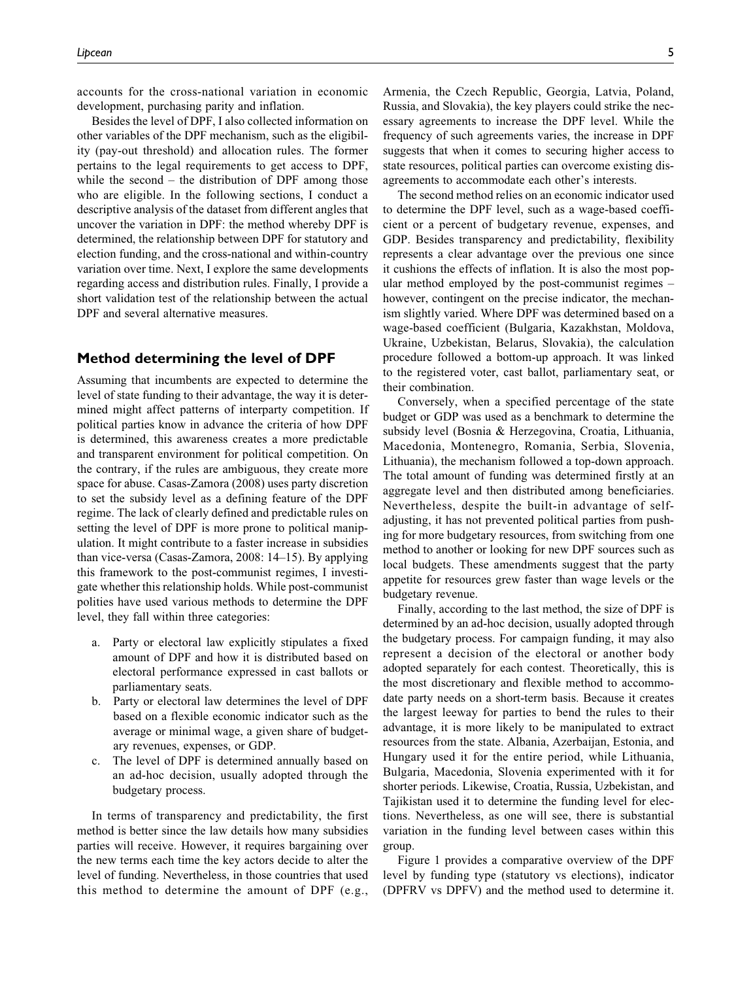accounts for the cross-national variation in economic development, purchasing parity and inflation.

Besides the level of DPF, I also collected information on other variables of the DPF mechanism, such as the eligibility (pay-out threshold) and allocation rules. The former pertains to the legal requirements to get access to DPF, while the second – the distribution of DPF among those who are eligible. In the following sections, I conduct a descriptive analysis of the dataset from different angles that uncover the variation in DPF: the method whereby DPF is determined, the relationship between DPF for statutory and election funding, and the cross-national and within-country variation over time. Next, I explore the same developments regarding access and distribution rules. Finally, I provide a short validation test of the relationship between the actual DPF and several alternative measures.

#### **Method determining the level of DPF**

Assuming that incumbents are expected to determine the level of state funding to their advantage, the way it is determined might affect patterns of interparty competition. If political parties know in advance the criteria of how DPF is determined, this awareness creates a more predictable and transparent environment for political competition. On the contrary, if the rules are ambiguous, they create more space for abuse. [Casas-Zamora \(2008\)](#page-14-0) uses party discretion to set the subsidy level as a defining feature of the DPF regime. The lack of clearly defined and predictable rules on setting the level of DPF is more prone to political manipulation. It might contribute to a faster increase in subsidies than vice-versa ([Casas-Zamora, 2008](#page-14-0): 14–15). By applying this framework to the post-communist regimes, I investigate whether this relationship holds. While post-communist polities have used various methods to determine the DPF level, they fall within three categories:

- a. Party or electoral law explicitly stipulates a fixed amount of DPF and how it is distributed based on electoral performance expressed in cast ballots or parliamentary seats.
- b. Party or electoral law determines the level of DPF based on a flexible economic indicator such as the average or minimal wage, a given share of budgetary revenues, expenses, or GDP.
- c. The level of DPF is determined annually based on an ad-hoc decision, usually adopted through the budgetary process.

In terms of transparency and predictability, the first method is better since the law details how many subsidies parties will receive. However, it requires bargaining over the new terms each time the key actors decide to alter the level of funding. Nevertheless, in those countries that used this method to determine the amount of DPF (e.g.,

Armenia, the Czech Republic, Georgia, Latvia, Poland, Russia, and Slovakia), the key players could strike the necessary agreements to increase the DPF level. While the frequency of such agreements varies, the increase in DPF suggests that when it comes to securing higher access to state resources, political parties can overcome existing disagreements to accommodate each other's interests.

The second method relies on an economic indicator used to determine the DPF level, such as a wage-based coefficient or a percent of budgetary revenue, expenses, and GDP. Besides transparency and predictability, flexibility represents a clear advantage over the previous one since it cushions the effects of inflation. It is also the most popular method employed by the post-communist regimes – however, contingent on the precise indicator, the mechanism slightly varied. Where DPF was determined based on a wage-based coefficient (Bulgaria, Kazakhstan, Moldova, Ukraine, Uzbekistan, Belarus, Slovakia), the calculation procedure followed a bottom-up approach. It was linked to the registered voter, cast ballot, parliamentary seat, or their combination.

Conversely, when a specified percentage of the state budget or GDP was used as a benchmark to determine the subsidy level (Bosnia & Herzegovina, Croatia, Lithuania, Macedonia, Montenegro, Romania, Serbia, Slovenia, Lithuania), the mechanism followed a top-down approach. The total amount of funding was determined firstly at an aggregate level and then distributed among beneficiaries. Nevertheless, despite the built-in advantage of selfadjusting, it has not prevented political parties from pushing for more budgetary resources, from switching from one method to another or looking for new DPF sources such as local budgets. These amendments suggest that the party appetite for resources grew faster than wage levels or the budgetary revenue.

Finally, according to the last method, the size of DPF is determined by an ad-hoc decision, usually adopted through the budgetary process. For campaign funding, it may also represent a decision of the electoral or another body adopted separately for each contest. Theoretically, this is the most discretionary and flexible method to accommodate party needs on a short-term basis. Because it creates the largest leeway for parties to bend the rules to their advantage, it is more likely to be manipulated to extract resources from the state. Albania, Azerbaijan, Estonia, and Hungary used it for the entire period, while Lithuania, Bulgaria, Macedonia, Slovenia experimented with it for shorter periods. Likewise, Croatia, Russia, Uzbekistan, and Tajikistan used it to determine the funding level for elections. Nevertheless, as one will see, there is substantial variation in the funding level between cases within this group.

[Figure 1](#page-5-0) provides a comparative overview of the DPF level by funding type (statutory vs elections), indicator (DPFRV vs DPFV) and the method used to determine it.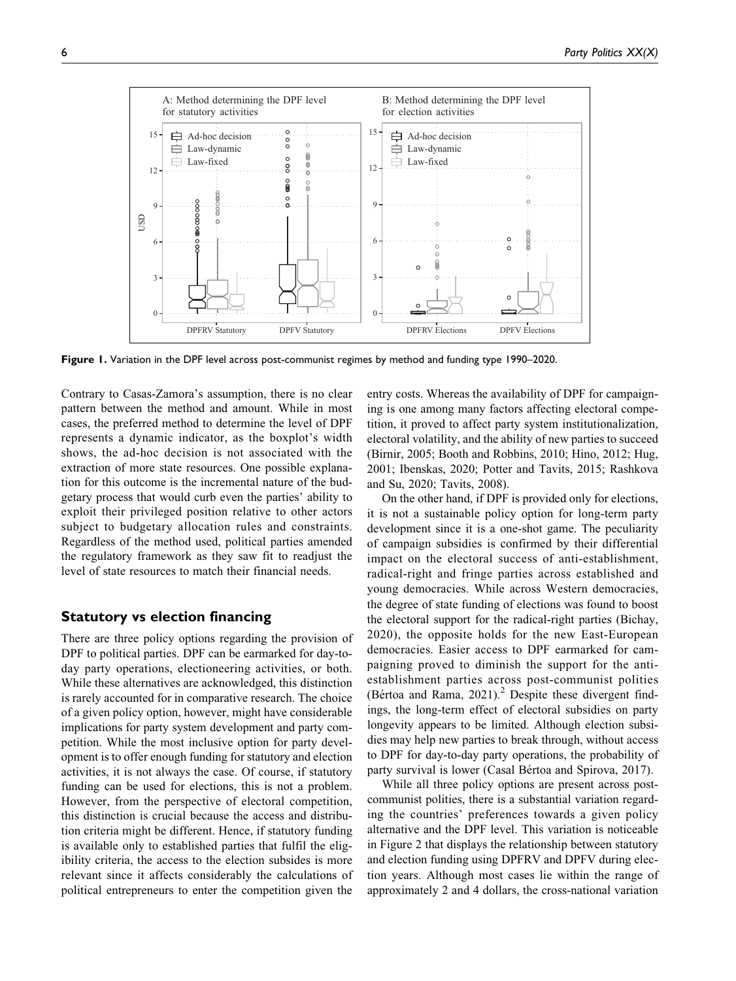<span id="page-5-0"></span>

Figure 1. Variation in the DPF level across post-communist regimes by method and funding type 1990–2020.

Contrary to Casas-Zamora's assumption, there is no clear pattern between the method and amount. While in most cases, the preferred method to determine the level of DPF represents a dynamic indicator, as the boxplot's width shows, the ad-hoc decision is not associated with the extraction of more state resources. One possible explanation for this outcome is the incremental nature of the budgetary process that would curb even the parties' ability to exploit their privileged position relative to other actors subject to budgetary allocation rules and constraints. Regardless of the method used, political parties amended the regulatory framework as they saw fit to readjust the level of state resources to match their financial needs.

## **Statutory vs election financing**

There are three policy options regarding the provision of DPF to political parties. DPF can be earmarked for day-today party operations, electioneering activities, or both. While these alternatives are acknowledged, this distinction is rarely accounted for in comparative research. The choice of a given policy option, however, might have considerable implications for party system development and party competition. While the most inclusive option for party development is to offer enough funding for statutory and election activities, it is not always the case. Of course, if statutory funding can be used for elections, this is not a problem. However, from the perspective of electoral competition, this distinction is crucial because the access and distribution criteria might be different. Hence, if statutory funding is available only to established parties that fulfil the eligibility criteria, the access to the election subsides is more relevant since it affects considerably the calculations of political entrepreneurs to enter the competition given the

entry costs. Whereas the availability of DPF for campaigning is one among many factors affecting electoral competition, it proved to affect party system institutionalization, electoral volatility, and the ability of new parties to succeed ([Birnir, 2005; Booth and Robbins, 2010](#page-14-0); [Hino, 2012; Hug,](#page-14-0) [2001](#page-14-0); [Ibenskas, 2020](#page-15-0); [Potter and Tavits, 2015](#page-15-0); [Rashkova](#page-15-0) [and Su, 2020; Tavits, 2008\)](#page-15-0).

On the other hand, if DPF is provided only for elections, it is not a sustainable policy option for long-term party development since it is a one-shot game. The peculiarity of campaign subsidies is confirmed by their differential impact on the electoral success of anti-establishment, radical-right and fringe parties across established and young democracies. While across Western democracies, the degree of state funding of elections was found to boost the electoral support for the radical-right parties [\(Bichay,](#page-14-0) [2020](#page-14-0)), the opposite holds for the new East-European democracies. Easier access to DPF earmarked for campaigning proved to diminish the support for the antiestablishment parties across post-communist polities ([B](#page-14-0)értoa and Rama,  $2021$ ).<sup>2</sup> Despite these divergent findings, the long-term effect of electoral subsidies on party longevity appears to be limited. Although election subsidies may help new parties to break through, without access to DPF for day-to-day party operations, the probability of party survival is lower ([Casal B](#page-14-0)é[rtoa and Spirova, 2017](#page-14-0)).

While all three policy options are present across postcommunist polities, there is a substantial variation regarding the countries' preferences towards a given policy alternative and the DPF level. This variation is noticeable in [Figure 2](#page-6-0) that displays the relationship between statutory and election funding using DPFRV and DPFV during election years. Although most cases lie within the range of approximately 2 and 4 dollars, the cross-national variation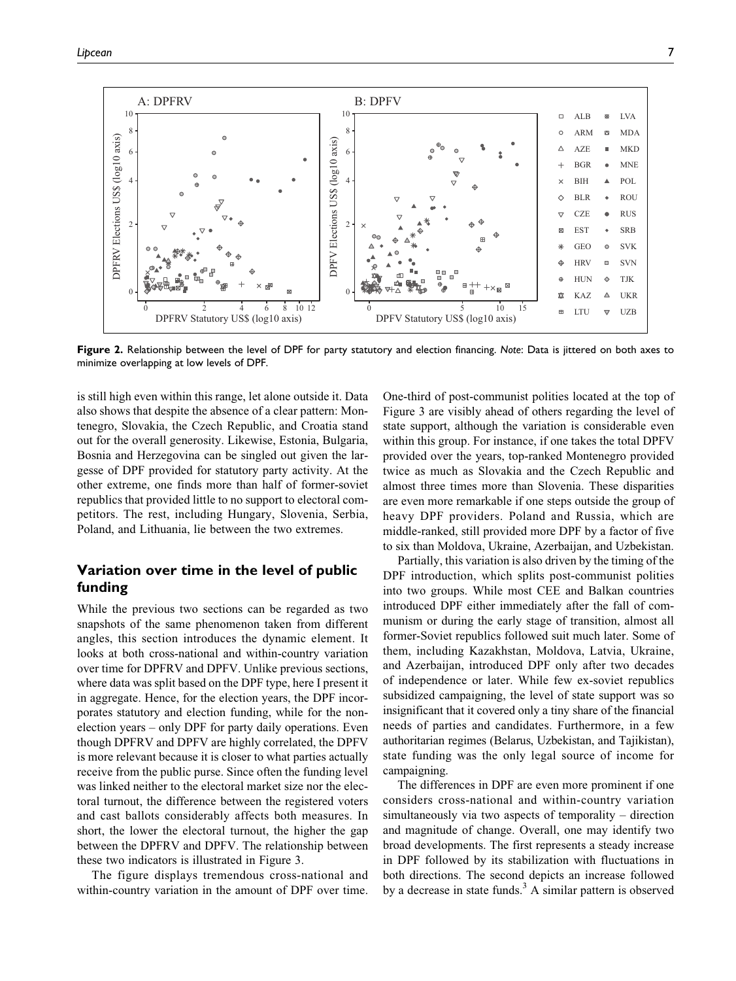<span id="page-6-0"></span>

**Figure 2.** Relationship between the level of DPF for party statutory and election financing. *Note*: Data is jittered on both axes to minimize overlapping at low levels of DPF.

is still high even within this range, let alone outside it. Data also shows that despite the absence of a clear pattern: Montenegro, Slovakia, the Czech Republic, and Croatia stand out for the overall generosity. Likewise, Estonia, Bulgaria, Bosnia and Herzegovina can be singled out given the largesse of DPF provided for statutory party activity. At the other extreme, one finds more than half of former-soviet republics that provided little to no support to electoral competitors. The rest, including Hungary, Slovenia, Serbia, Poland, and Lithuania, lie between the two extremes.

# **Variation over time in the level of public funding**

While the previous two sections can be regarded as two snapshots of the same phenomenon taken from different angles, this section introduces the dynamic element. It looks at both cross-national and within-country variation over time for DPFRV and DPFV. Unlike previous sections, where data was split based on the DPF type, here I present it in aggregate. Hence, for the election years, the DPF incorporates statutory and election funding, while for the nonelection years – only DPF for party daily operations. Even though DPFRV and DPFV are highly correlated, the DPFV is more relevant because it is closer to what parties actually receive from the public purse. Since often the funding level was linked neither to the electoral market size nor the electoral turnout, the difference between the registered voters and cast ballots considerably affects both measures. In short, the lower the electoral turnout, the higher the gap between the DPFRV and DPFV. The relationship between these two indicators is illustrated in [Figure 3.](#page-7-0)

The figure displays tremendous cross-national and within-country variation in the amount of DPF over time. One-third of post-communist polities located at the top of [Figure 3](#page-7-0) are visibly ahead of others regarding the level of state support, although the variation is considerable even within this group. For instance, if one takes the total DPFV provided over the years, top-ranked Montenegro provided twice as much as Slovakia and the Czech Republic and almost three times more than Slovenia. These disparities are even more remarkable if one steps outside the group of heavy DPF providers. Poland and Russia, which are middle-ranked, still provided more DPF by a factor of five to six than Moldova, Ukraine, Azerbaijan, and Uzbekistan.

Partially, this variation is also driven by the timing of the DPF introduction, which splits post-communist polities into two groups. While most CEE and Balkan countries introduced DPF either immediately after the fall of communism or during the early stage of transition, almost all former-Soviet republics followed suit much later. Some of them, including Kazakhstan, Moldova, Latvia, Ukraine, and Azerbaijan, introduced DPF only after two decades of independence or later. While few ex-soviet republics subsidized campaigning, the level of state support was so insignificant that it covered only a tiny share of the financial needs of parties and candidates. Furthermore, in a few authoritarian regimes (Belarus, Uzbekistan, and Tajikistan), state funding was the only legal source of income for campaigning.

The differences in DPF are even more prominent if one considers cross-national and within-country variation simultaneously via two aspects of temporality – direction and magnitude of change. Overall, one may identify two broad developments. The first represents a steady increase in DPF followed by its stabilization with fluctuations in both directions. The second depicts an increase followed by a decrease in state funds.<sup>[3](#page-13-0)</sup> A similar pattern is observed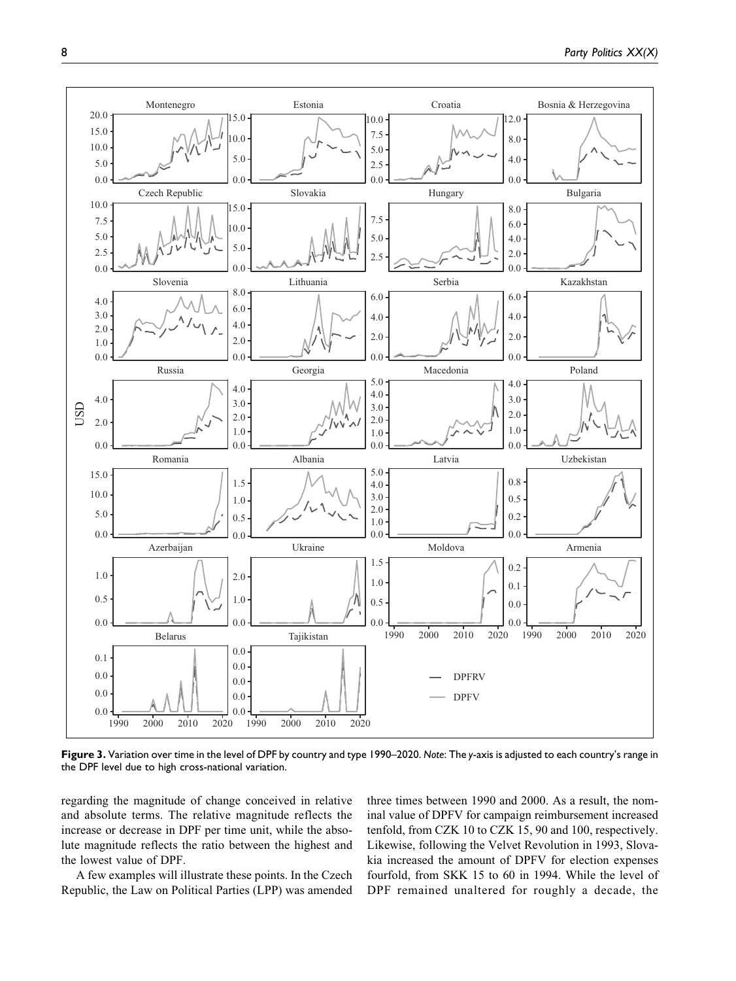<span id="page-7-0"></span>

**Figure 3.** Variation over time in the level of DPF by country and type 1990–2020. *Note*: The *y*-axis is adjusted to each country's range in the DPF level due to high cross-national variation.

regarding the magnitude of change conceived in relative and absolute terms. The relative magnitude reflects the increase or decrease in DPF per time unit, while the absolute magnitude reflects the ratio between the highest and the lowest value of DPF.

A few examples will illustrate these points. In the Czech Republic, the Law on Political Parties (LPP) was amended three times between 1990 and 2000. As a result, the nominal value of DPFV for campaign reimbursement increased tenfold, from CZK 10 to CZK 15, 90 and 100, respectively. Likewise, following the Velvet Revolution in 1993, Slovakia increased the amount of DPFV for election expenses fourfold, from SKK 15 to 60 in 1994. While the level of DPF remained unaltered for roughly a decade, the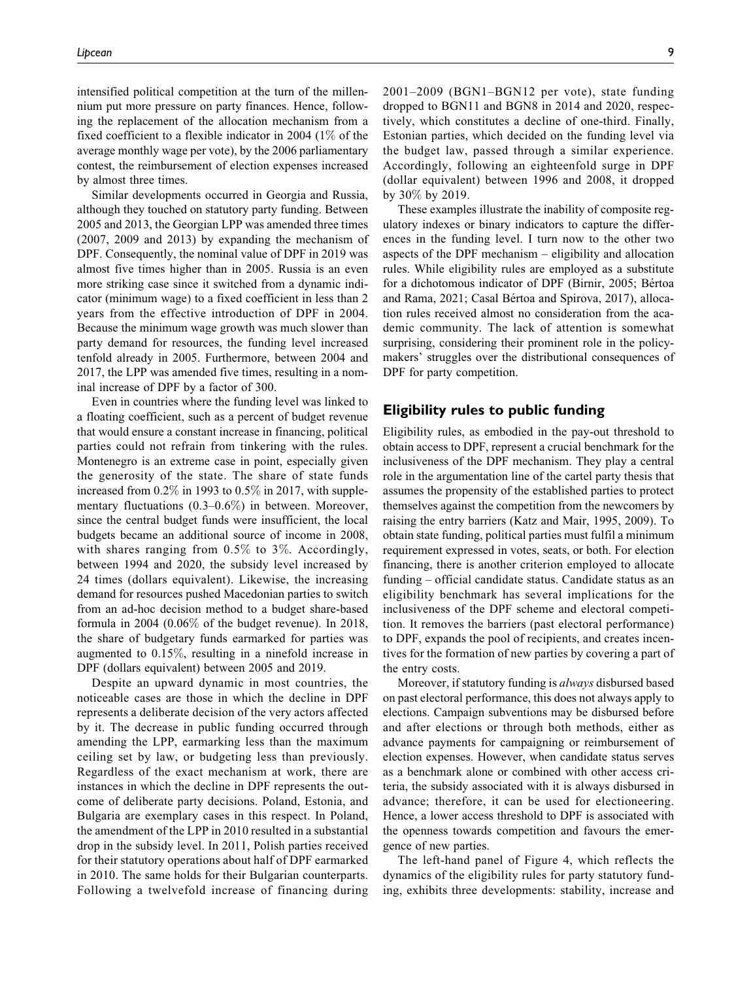intensified political competition at the turn of the millennium put more pressure on party finances. Hence, following the replacement of the allocation mechanism from a fixed coefficient to a flexible indicator in 2004 (1% of the average monthly wage per vote), by the 2006 parliamentary contest, the reimbursement of election expenses increased by almost three times.

Similar developments occurred in Georgia and Russia, although they touched on statutory party funding. Between 2005 and 2013, the Georgian LPP was amended three times (2007, 2009 and 2013) by expanding the mechanism of DPF. Consequently, the nominal value of DPF in 2019 was almost five times higher than in 2005. Russia is an even more striking case since it switched from a dynamic indicator (minimum wage) to a fixed coefficient in less than 2 years from the effective introduction of DPF in 2004. Because the minimum wage growth was much slower than party demand for resources, the funding level increased tenfold already in 2005. Furthermore, between 2004 and 2017, the LPP was amended five times, resulting in a nominal increase of DPF by a factor of 300.

Even in countries where the funding level was linked to a floating coefficient, such as a percent of budget revenue that would ensure a constant increase in financing, political parties could not refrain from tinkering with the rules. Montenegro is an extreme case in point, especially given the generosity of the state. The share of state funds increased from 0.2% in 1993 to 0.5% in 2017, with supplementary fluctuations (0.3–0.6%) in between. Moreover, since the central budget funds were insufficient, the local budgets became an additional source of income in 2008, with shares ranging from 0.5% to 3%. Accordingly, between 1994 and 2020, the subsidy level increased by 24 times (dollars equivalent). Likewise, the increasing demand for resources pushed Macedonian parties to switch from an ad-hoc decision method to a budget share-based formula in 2004 (0.06% of the budget revenue). In 2018, the share of budgetary funds earmarked for parties was augmented to 0.15%, resulting in a ninefold increase in DPF (dollars equivalent) between 2005 and 2019.

Despite an upward dynamic in most countries, the noticeable cases are those in which the decline in DPF represents a deliberate decision of the very actors affected by it. The decrease in public funding occurred through amending the LPP, earmarking less than the maximum ceiling set by law, or budgeting less than previously. Regardless of the exact mechanism at work, there are instances in which the decline in DPF represents the outcome of deliberate party decisions. Poland, Estonia, and Bulgaria are exemplary cases in this respect. In Poland, the amendment of the LPP in 2010 resulted in a substantial drop in the subsidy level. In 2011, Polish parties received for their statutory operations about half of DPF earmarked in 2010. The same holds for their Bulgarian counterparts. Following a twelvefold increase of financing during

2001–2009 (BGN1–BGN12 per vote), state funding dropped to BGN11 and BGN8 in 2014 and 2020, respectively, which constitutes a decline of one-third. Finally, Estonian parties, which decided on the funding level via the budget law, passed through a similar experience. Accordingly, following an eighteenfold surge in DPF (dollar equivalent) between 1996 and 2008, it dropped by 30% by 2019.

These examples illustrate the inability of composite regulatory indexes or binary indicators to capture the differences in the funding level. I turn now to the other two aspects of the DPF mechanism – eligibility and allocation rules. While eligibility rules are employed as a substitute for a dichotomous indicator of DPF [\(Birnir, 2005; B](#page-14-0)értoa [and Rama, 2021; Casal B](#page-14-0)é[rtoa and Spirova, 2017\)](#page-14-0), allocation rules received almost no consideration from the academic community. The lack of attention is somewhat surprising, considering their prominent role in the policymakers' struggles over the distributional consequences of DPF for party competition.

## **Eligibility rules to public funding**

Eligibility rules, as embodied in the pay-out threshold to obtain access to DPF, represent a crucial benchmark for the inclusiveness of the DPF mechanism. They play a central role in the argumentation line of the cartel party thesis that assumes the propensity of the established parties to protect themselves against the competition from the newcomers by raising the entry barriers ([Katz and Mair, 1995](#page-15-0), [2009\)](#page-15-0). To obtain state funding, political parties must fulfil a minimum requirement expressed in votes, seats, or both. For election financing, there is another criterion employed to allocate funding – official candidate status. Candidate status as an eligibility benchmark has several implications for the inclusiveness of the DPF scheme and electoral competition. It removes the barriers (past electoral performance) to DPF, expands the pool of recipients, and creates incentives for the formation of new parties by covering a part of the entry costs.

Moreover, if statutory funding is always disbursed based on past electoral performance, this does not always apply to elections. Campaign subventions may be disbursed before and after elections or through both methods, either as advance payments for campaigning or reimbursement of election expenses. However, when candidate status serves as a benchmark alone or combined with other access criteria, the subsidy associated with it is always disbursed in advance; therefore, it can be used for electioneering. Hence, a lower access threshold to DPF is associated with the openness towards competition and favours the emergence of new parties.

The left-hand panel of [Figure 4](#page-9-0), which reflects the dynamics of the eligibility rules for party statutory funding, exhibits three developments: stability, increase and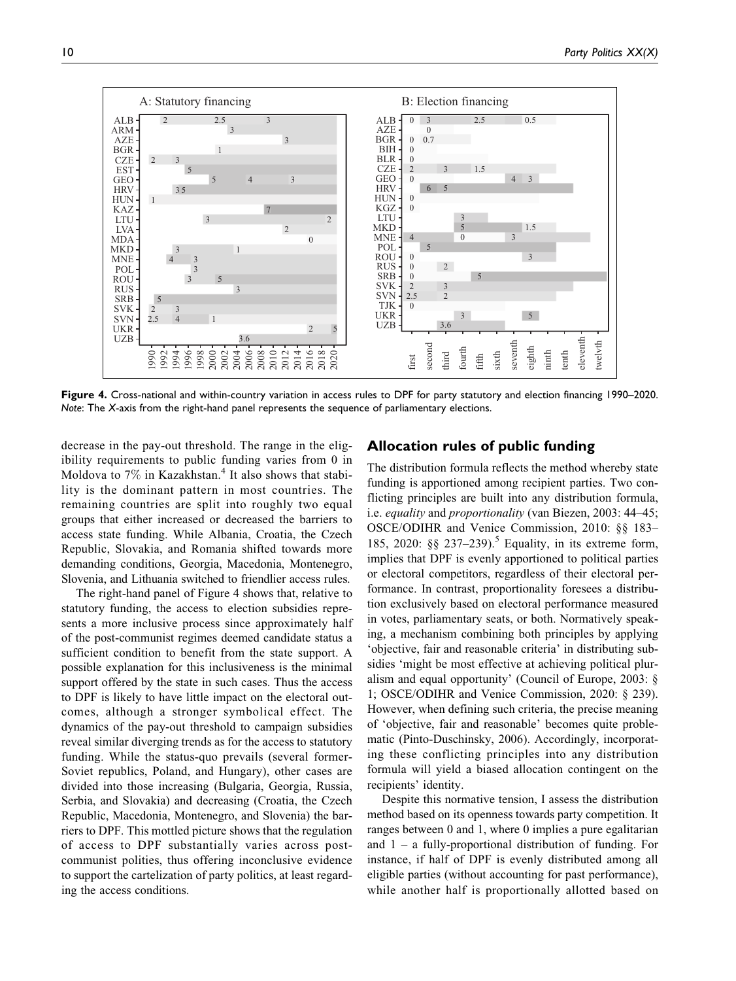<span id="page-9-0"></span>

**Figure 4.** Cross-national and within-country variation in access rules to DPF for party statutory and election financing 1990–2020. *Note*: The *X*-axis from the right-hand panel represents the sequence of parliamentary elections.

decrease in the pay-out threshold. The range in the eligibility requirements to public funding varies from 0 in Moldova to  $7\%$  in Kazakhstan.<sup>[4](#page-13-0)</sup> It also shows that stability is the dominant pattern in most countries. The remaining countries are split into roughly two equal groups that either increased or decreased the barriers to access state funding. While Albania, Croatia, the Czech Republic, Slovakia, and Romania shifted towards more demanding conditions, Georgia, Macedonia, Montenegro, Slovenia, and Lithuania switched to friendlier access rules.

The right-hand panel of Figure 4 shows that, relative to statutory funding, the access to election subsidies represents a more inclusive process since approximately half of the post-communist regimes deemed candidate status a sufficient condition to benefit from the state support. A possible explanation for this inclusiveness is the minimal support offered by the state in such cases. Thus the access to DPF is likely to have little impact on the electoral outcomes, although a stronger symbolical effect. The dynamics of the pay-out threshold to campaign subsidies reveal similar diverging trends as for the access to statutory funding. While the status-quo prevails (several former-Soviet republics, Poland, and Hungary), other cases are divided into those increasing (Bulgaria, Georgia, Russia, Serbia, and Slovakia) and decreasing (Croatia, the Czech Republic, Macedonia, Montenegro, and Slovenia) the barriers to DPF. This mottled picture shows that the regulation of access to DPF substantially varies across postcommunist polities, thus offering inconclusive evidence to support the cartelization of party politics, at least regarding the access conditions.

# **Allocation rules of public funding**

The distribution formula reflects the method whereby state funding is apportioned among recipient parties. Two conflicting principles are built into any distribution formula, i.e. equality and proportionality [\(van Biezen, 2003:](#page-15-0) 44–45; [OSCE/ODIHR and Venice Commission, 2010:](#page-15-0) §§ 183– 185, [2020:](#page-15-0) §§ 237–239).<sup>[5](#page-13-0)</sup> Equality, in its extreme form, implies that DPF is evenly apportioned to political parties or electoral competitors, regardless of their electoral performance. In contrast, proportionality foresees a distribution exclusively based on electoral performance measured in votes, parliamentary seats, or both. Normatively speaking, a mechanism combining both principles by applying 'objective, fair and reasonable criteria' in distributing subsidies 'might be most effective at achieving political pluralism and equal opportunity' [\(Council of Europe, 2003:](#page-14-0) § 1; [OSCE/ODIHR and Venice Commission, 2020](#page-15-0): § 239). However, when defining such criteria, the precise meaning of 'objective, fair and reasonable' becomes quite problematic [\(Pinto-Duschinsky, 2006](#page-15-0)). Accordingly, incorporating these conflicting principles into any distribution formula will yield a biased allocation contingent on the recipients' identity.

Despite this normative tension, I assess the distribution method based on its openness towards party competition. It ranges between 0 and 1, where 0 implies a pure egalitarian and  $1 - a$  fully-proportional distribution of funding. For instance, if half of DPF is evenly distributed among all eligible parties (without accounting for past performance), while another half is proportionally allotted based on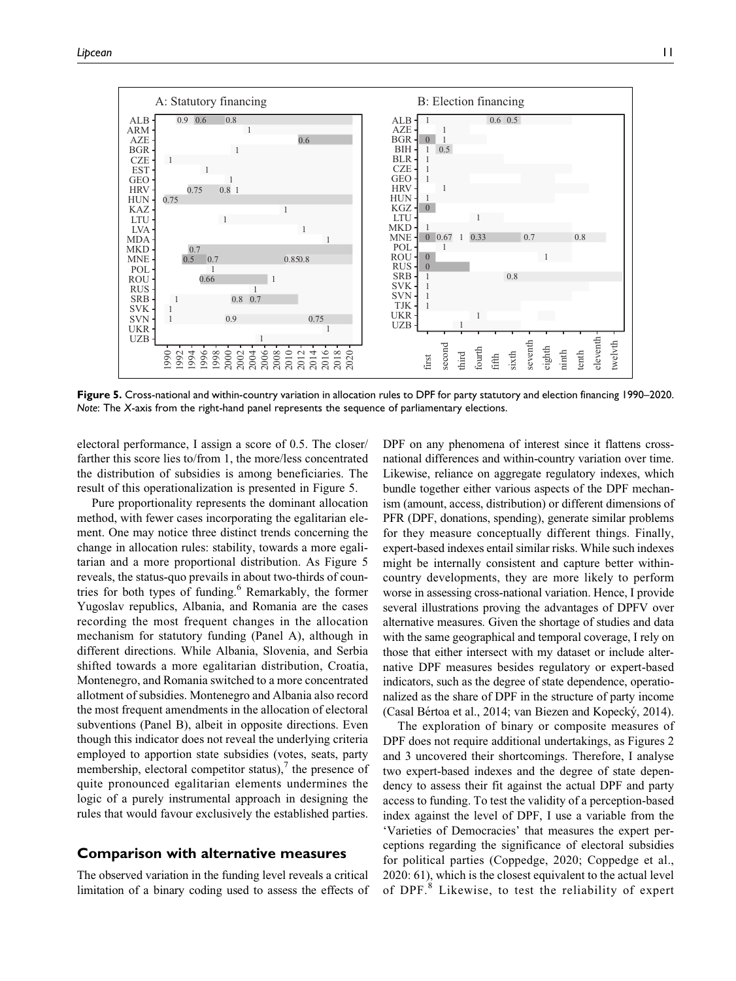

**Figure 5.** Cross-national and within-country variation in allocation rules to DPF for party statutory and election financing 1990–2020. *Note*: The *X*-axis from the right-hand panel represents the sequence of parliamentary elections.

electoral performance, I assign a score of 0.5. The closer/ farther this score lies to/from 1, the more/less concentrated the distribution of subsidies is among beneficiaries. The result of this operationalization is presented in Figure 5.

Pure proportionality represents the dominant allocation method, with fewer cases incorporating the egalitarian element. One may notice three distinct trends concerning the change in allocation rules: stability, towards a more egalitarian and a more proportional distribution. As Figure 5 reveals, the status-quo prevails in about two-thirds of coun-tries for both types of funding.<sup>[6](#page-14-0)</sup> Remarkably, the former Yugoslav republics, Albania, and Romania are the cases recording the most frequent changes in the allocation mechanism for statutory funding (Panel A), although in different directions. While Albania, Slovenia, and Serbia shifted towards a more egalitarian distribution, Croatia, Montenegro, and Romania switched to a more concentrated allotment of subsidies. Montenegro and Albania also record the most frequent amendments in the allocation of electoral subventions (Panel B), albeit in opposite directions. Even though this indicator does not reveal the underlying criteria employed to apportion state subsidies (votes, seats, party membership, electoral competitor status), $\theta$  the presence of quite pronounced egalitarian elements undermines the logic of a purely instrumental approach in designing the rules that would favour exclusively the established parties.

## **Comparison with alternative measures**

The observed variation in the funding level reveals a critical limitation of a binary coding used to assess the effects of DPF on any phenomena of interest since it flattens crossnational differences and within-country variation over time. Likewise, reliance on aggregate regulatory indexes, which bundle together either various aspects of the DPF mechanism (amount, access, distribution) or different dimensions of PFR (DPF, donations, spending), generate similar problems for they measure conceptually different things. Finally, expert-based indexes entail similar risks. While such indexes might be internally consistent and capture better withincountry developments, they are more likely to perform worse in assessing cross-national variation. Hence, I provide several illustrations proving the advantages of DPFV over alternative measures. Given the shortage of studies and data with the same geographical and temporal coverage, I rely on those that either intersect with my dataset or include alternative DPF measures besides regulatory or expert-based indicators, such as the degree of state dependence, operationalized as the share of DPF in the structure of party income [\(Casal B](#page-14-0)é[rtoa et al., 2014;](#page-14-0) van Biezen and Kopecký, 2014).

The exploration of binary or composite measures of DPF does not require additional undertakings, as [Figures 2](#page-6-0) and [3](#page-7-0) uncovered their shortcomings. Therefore, I analyse two expert-based indexes and the degree of state dependency to assess their fit against the actual DPF and party access to funding. To test the validity of a perception-based index against the level of DPF, I use a variable from the 'Varieties of Democracies' that measures the expert perceptions regarding the significance of electoral subsidies for political parties ([Coppedge, 2020; Coppedge et al.,](#page-14-0) [2020:](#page-14-0) 61), which is the closest equivalent to the actual level of DPF.[8](#page-14-0) Likewise, to test the reliability of expert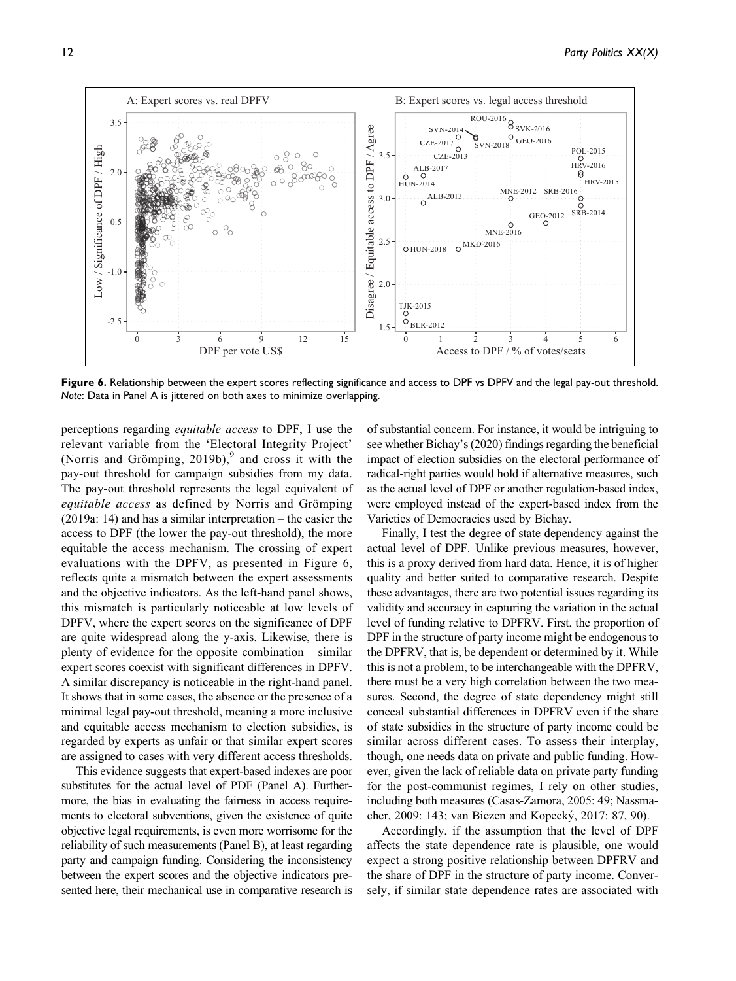

**Figure 6.** Relationship between the expert scores reflecting significance and access to DPF vs DPFV and the legal pay-out threshold. *Note*: Data in Panel A is jittered on both axes to minimize overlapping.

perceptions regarding equitable access to DPF, I use the relevant variable from the 'Electoral Integrity Project' (Norris and Grömping, 201[9](#page-14-0)b), $9^9$  and cross it with the pay-out threshold for campaign subsidies from my data. The pay-out threshold represents the legal equivalent of equitable access as defined by Norris and Grömping [\(2019a](#page-15-0): 14) and has a similar interpretation – the easier the access to DPF (the lower the pay-out threshold), the more equitable the access mechanism. The crossing of expert evaluations with the DPFV, as presented in Figure 6, reflects quite a mismatch between the expert assessments and the objective indicators. As the left-hand panel shows, this mismatch is particularly noticeable at low levels of DPFV, where the expert scores on the significance of DPF are quite widespread along the y-axis. Likewise, there is plenty of evidence for the opposite combination – similar expert scores coexist with significant differences in DPFV. A similar discrepancy is noticeable in the right-hand panel. It shows that in some cases, the absence or the presence of a minimal legal pay-out threshold, meaning a more inclusive and equitable access mechanism to election subsidies, is regarded by experts as unfair or that similar expert scores are assigned to cases with very different access thresholds.

This evidence suggests that expert-based indexes are poor substitutes for the actual level of PDF (Panel A). Furthermore, the bias in evaluating the fairness in access requirements to electoral subventions, given the existence of quite objective legal requirements, is even more worrisome for the reliability of such measurements (Panel B), at least regarding party and campaign funding. Considering the inconsistency between the expert scores and the objective indicators presented here, their mechanical use in comparative research is of substantial concern. For instance, it would be intriguing to see whether [Bichay's \(2020\)](#page-14-0) findings regarding the beneficial impact of election subsidies on the electoral performance of radical-right parties would hold if alternative measures, such as the actual level of DPF or another regulation-based index, were employed instead of the expert-based index from the Varieties of Democracies used by Bichay.

Finally, I test the degree of state dependency against the actual level of DPF. Unlike previous measures, however, this is a proxy derived from hard data. Hence, it is of higher quality and better suited to comparative research. Despite these advantages, there are two potential issues regarding its validity and accuracy in capturing the variation in the actual level of funding relative to DPFRV. First, the proportion of DPF in the structure of party income might be endogenous to the DPFRV, that is, be dependent or determined by it. While this is not a problem, to be interchangeable with the DPFRV, there must be a very high correlation between the two measures. Second, the degree of state dependency might still conceal substantial differences in DPFRV even if the share of state subsidies in the structure of party income could be similar across different cases. To assess their interplay, though, one needs data on private and public funding. However, given the lack of reliable data on private party funding for the post-communist regimes, I rely on other studies, including both measures [\(Casas-Zamora, 2005:](#page-14-0) 49; [Nassma](#page-15-0)[cher, 2009:](#page-15-0) 143; [van Biezen and Kopecky´, 2017:](#page-16-0) 87, 90).

Accordingly, if the assumption that the level of DPF affects the state dependence rate is plausible, one would expect a strong positive relationship between DPFRV and the share of DPF in the structure of party income. Conversely, if similar state dependence rates are associated with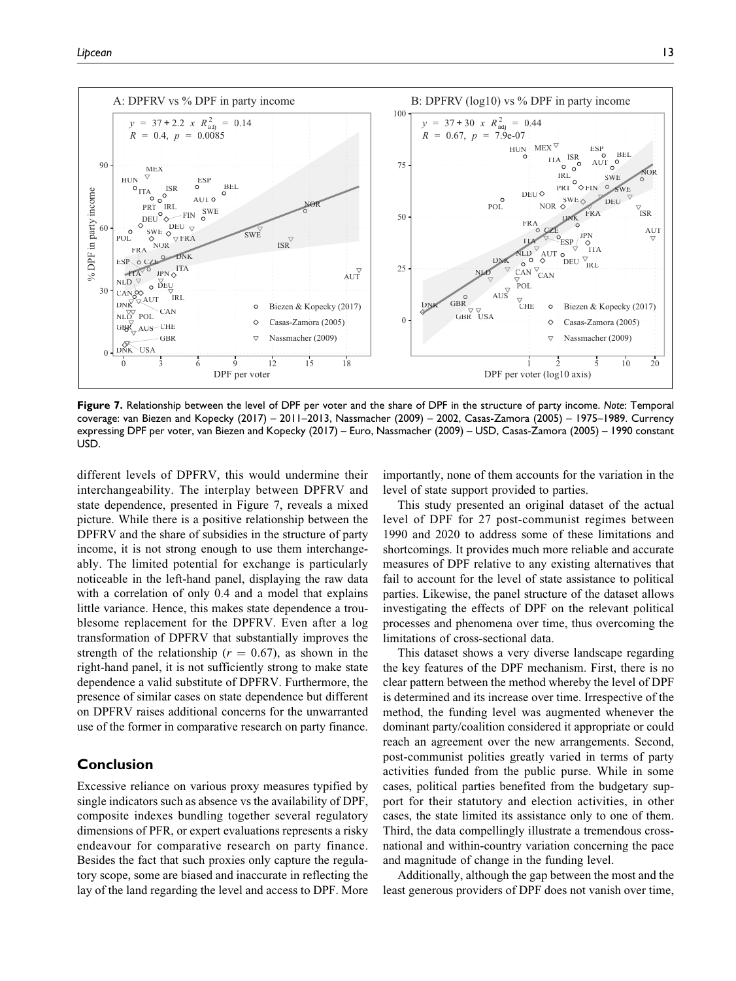

**Figure 7.** Relationship between the level of DPF per voter and the share of DPF in the structure of party income. *Note*: Temporal coverage: [van Biezen and Kopecky \(2017\)](#page-16-0) – 2011–2013, [Nassmacher \(2009\)](#page-15-0) – 2002, [Casas-Zamora \(2005\)](#page-14-0) – 1975–1989. Currency expressing DPF per voter, [van Biezen and Kopecky \(2017\)](#page-16-0) – Euro, [Nassmacher \(2009\)](#page-15-0) – USD, [Casas-Zamora \(2005\)](#page-14-0) – 1990 constant USD.

different levels of DPFRV, this would undermine their interchangeability. The interplay between DPFRV and state dependence, presented in Figure 7, reveals a mixed picture. While there is a positive relationship between the DPFRV and the share of subsidies in the structure of party income, it is not strong enough to use them interchangeably. The limited potential for exchange is particularly noticeable in the left-hand panel, displaying the raw data with a correlation of only 0.4 and a model that explains little variance. Hence, this makes state dependence a troublesome replacement for the DPFRV. Even after a log transformation of DPFRV that substantially improves the strength of the relationship ( $r = 0.67$ ), as shown in the right-hand panel, it is not sufficiently strong to make state dependence a valid substitute of DPFRV. Furthermore, the presence of similar cases on state dependence but different on DPFRV raises additional concerns for the unwarranted use of the former in comparative research on party finance.

## **Conclusion**

Excessive reliance on various proxy measures typified by single indicators such as absence vs the availability of DPF, composite indexes bundling together several regulatory dimensions of PFR, or expert evaluations represents a risky endeavour for comparative research on party finance. Besides the fact that such proxies only capture the regulatory scope, some are biased and inaccurate in reflecting the lay of the land regarding the level and access to DPF. More importantly, none of them accounts for the variation in the level of state support provided to parties.

This study presented an original dataset of the actual level of DPF for 27 post-communist regimes between 1990 and 2020 to address some of these limitations and shortcomings. It provides much more reliable and accurate measures of DPF relative to any existing alternatives that fail to account for the level of state assistance to political parties. Likewise, the panel structure of the dataset allows investigating the effects of DPF on the relevant political processes and phenomena over time, thus overcoming the limitations of cross-sectional data.

This dataset shows a very diverse landscape regarding the key features of the DPF mechanism. First, there is no clear pattern between the method whereby the level of DPF is determined and its increase over time. Irrespective of the method, the funding level was augmented whenever the dominant party/coalition considered it appropriate or could reach an agreement over the new arrangements. Second, post-communist polities greatly varied in terms of party activities funded from the public purse. While in some cases, political parties benefited from the budgetary support for their statutory and election activities, in other cases, the state limited its assistance only to one of them. Third, the data compellingly illustrate a tremendous crossnational and within-country variation concerning the pace and magnitude of change in the funding level.

Additionally, although the gap between the most and the least generous providers of DPF does not vanish over time,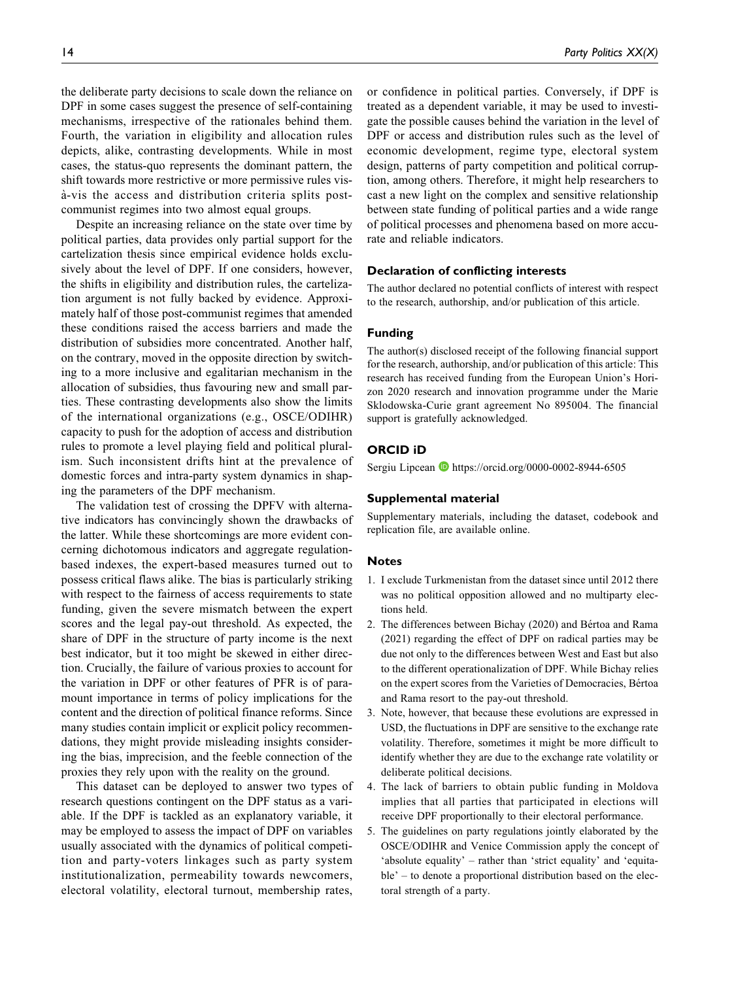<span id="page-13-0"></span>the deliberate party decisions to scale down the reliance on DPF in some cases suggest the presence of self-containing mechanisms, irrespective of the rationales behind them. Fourth, the variation in eligibility and allocation rules depicts, alike, contrasting developments. While in most cases, the status-quo represents the dominant pattern, the shift towards more restrictive or more permissive rules visa-vis the access and distribution criteria splits postcommunist regimes into two almost equal groups.

Despite an increasing reliance on the state over time by political parties, data provides only partial support for the cartelization thesis since empirical evidence holds exclusively about the level of DPF. If one considers, however, the shifts in eligibility and distribution rules, the cartelization argument is not fully backed by evidence. Approximately half of those post-communist regimes that amended these conditions raised the access barriers and made the distribution of subsidies more concentrated. Another half, on the contrary, moved in the opposite direction by switching to a more inclusive and egalitarian mechanism in the allocation of subsidies, thus favouring new and small parties. These contrasting developments also show the limits of the international organizations (e.g., OSCE/ODIHR) capacity to push for the adoption of access and distribution rules to promote a level playing field and political pluralism. Such inconsistent drifts hint at the prevalence of domestic forces and intra-party system dynamics in shaping the parameters of the DPF mechanism.

The validation test of crossing the DPFV with alternative indicators has convincingly shown the drawbacks of the latter. While these shortcomings are more evident concerning dichotomous indicators and aggregate regulationbased indexes, the expert-based measures turned out to possess critical flaws alike. The bias is particularly striking with respect to the fairness of access requirements to state funding, given the severe mismatch between the expert scores and the legal pay-out threshold. As expected, the share of DPF in the structure of party income is the next best indicator, but it too might be skewed in either direction. Crucially, the failure of various proxies to account for the variation in DPF or other features of PFR is of paramount importance in terms of policy implications for the content and the direction of political finance reforms. Since many studies contain implicit or explicit policy recommendations, they might provide misleading insights considering the bias, imprecision, and the feeble connection of the proxies they rely upon with the reality on the ground.

This dataset can be deployed to answer two types of research questions contingent on the DPF status as a variable. If the DPF is tackled as an explanatory variable, it may be employed to assess the impact of DPF on variables usually associated with the dynamics of political competition and party-voters linkages such as party system institutionalization, permeability towards newcomers, electoral volatility, electoral turnout, membership rates,

or confidence in political parties. Conversely, if DPF is treated as a dependent variable, it may be used to investigate the possible causes behind the variation in the level of DPF or access and distribution rules such as the level of economic development, regime type, electoral system design, patterns of party competition and political corruption, among others. Therefore, it might help researchers to cast a new light on the complex and sensitive relationship between state funding of political parties and a wide range of political processes and phenomena based on more accurate and reliable indicators.

## **Declaration of conflicting interests**

The author declared no potential conflicts of interest with respect to the research, authorship, and/or publication of this article.

## **Funding**

The author(s) disclosed receipt of the following financial support for the research, authorship, and/or publication of this article: This research has received funding from the European Union's Horizon 2020 research and innovation programme under the Marie Sklodowska-Curie grant agreement No 895004. The financial support is gratefully acknowledged.

#### **ORCID iD**

Sergiu Lipcean <https://orcid.org/0000-0002-8944-6505>

#### **Supplemental material**

Supplementary materials, including the dataset, codebook and replication file, are available online.

#### **Notes**

- 1. I exclude Turkmenistan from the dataset since until 2012 there was no political opposition allowed and no multiparty elections held.
- 2. The differences between [Bichay \(2020\)](#page-14-0) and [B](#page-14-0)értoa and Rama [\(2021\)](#page-14-0) regarding the effect of DPF on radical parties may be due not only to the differences between West and East but also to the different operationalization of DPF. While Bichay relies on the expert scores from the Varieties of Democracies, B´ertoa and Rama resort to the pay-out threshold.
- 3. Note, however, that because these evolutions are expressed in USD, the fluctuations in DPF are sensitive to the exchange rate volatility. Therefore, sometimes it might be more difficult to identify whether they are due to the exchange rate volatility or deliberate political decisions.
- 4. The lack of barriers to obtain public funding in Moldova implies that all parties that participated in elections will receive DPF proportionally to their electoral performance.
- 5. The guidelines on party regulations jointly elaborated by the OSCE/ODIHR and Venice Commission apply the concept of 'absolute equality' – rather than 'strict equality' and 'equitable' – to denote a proportional distribution based on the electoral strength of a party.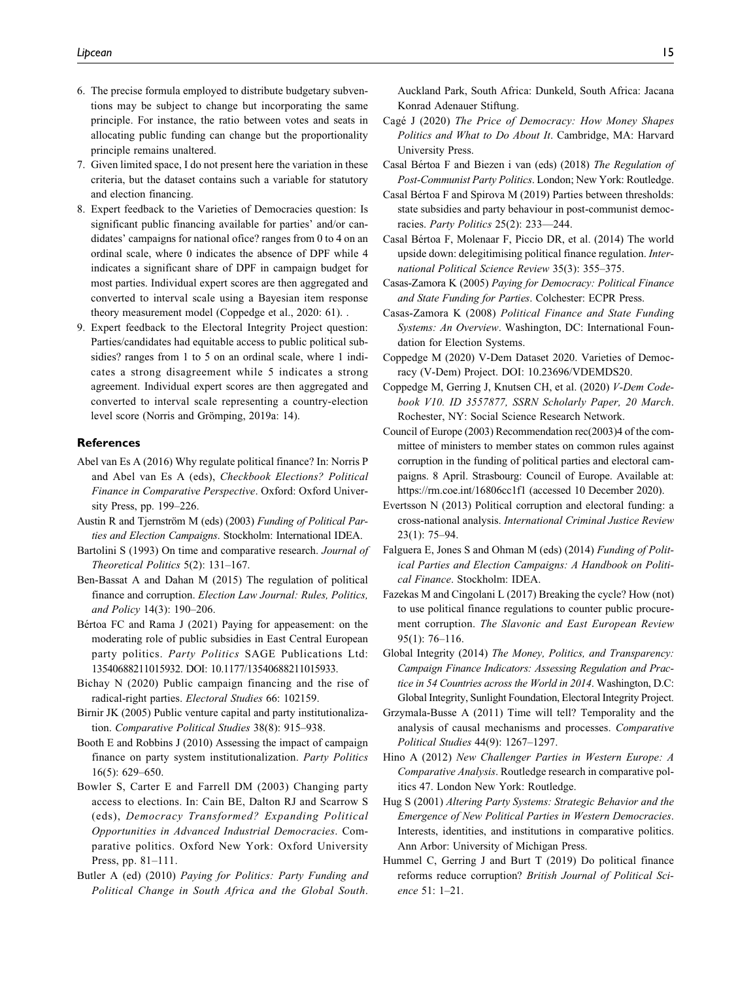- <span id="page-14-0"></span>6. The precise formula employed to distribute budgetary subventions may be subject to change but incorporating the same principle. For instance, the ratio between votes and seats in allocating public funding can change but the proportionality principle remains unaltered.
- 7. Given limited space, I do not present here the variation in these criteria, but the dataset contains such a variable for statutory and election financing.
- 8. Expert feedback to the Varieties of Democracies question: Is significant public financing available for parties' and/or candidates' campaigns for national ofice? ranges from 0 to 4 on an ordinal scale, where 0 indicates the absence of DPF while 4 indicates a significant share of DPF in campaign budget for most parties. Individual expert scores are then aggregated and converted to interval scale using a Bayesian item response theory measurement model (Coppedge et al., 2020: 61). .
- 9. Expert feedback to the Electoral Integrity Project question: Parties/candidates had equitable access to public political subsidies? ranges from 1 to 5 on an ordinal scale, where 1 indicates a strong disagreement while 5 indicates a strong agreement. Individual expert scores are then aggregated and converted to interval scale representing a country-election level score (Norris and Grömping, 2019a: 14).

#### **References**

- Abel van Es A (2016) Why regulate political finance? In: Norris P and Abel van Es A (eds), Checkbook Elections? Political Finance in Comparative Perspective. Oxford: Oxford University Press, pp. 199–226.
- Austin R and Tjernström M (eds) (2003) Funding of Political Parties and Election Campaigns. Stockholm: International IDEA.
- Bartolini S (1993) On time and comparative research. Journal of Theoretical Politics 5(2): 131–167.
- Ben-Bassat A and Dahan M (2015) The regulation of political finance and corruption. Election Law Journal: Rules, Politics, and Policy 14(3): 190–206.
- Bértoa FC and Rama J (2021) Paying for appeasement: on the moderating role of public subsidies in East Central European party politics. Party Politics SAGE Publications Ltd: 13540688211015932. DOI: 10.1177/13540688211015933.
- Bichay N (2020) Public campaign financing and the rise of radical-right parties. Electoral Studies 66: 102159.
- Birnir JK (2005) Public venture capital and party institutionalization. Comparative Political Studies 38(8): 915–938.
- Booth E and Robbins J (2010) Assessing the impact of campaign finance on party system institutionalization. Party Politics 16(5): 629–650.
- Bowler S, Carter E and Farrell DM (2003) Changing party access to elections. In: Cain BE, Dalton RJ and Scarrow S (eds), Democracy Transformed? Expanding Political Opportunities in Advanced Industrial Democracies. Comparative politics. Oxford New York: Oxford University Press, pp. 81–111.
- Butler A (ed) (2010) Paying for Politics: Party Funding and Political Change in South Africa and the Global South.

Auckland Park, South Africa: Dunkeld, South Africa: Jacana Konrad Adenauer Stiftung.

- Cagé J (2020) The Price of Democracy: How Money Shapes Politics and What to Do About It. Cambridge, MA: Harvard University Press.
- Casal Bértoa F and Biezen i van (eds) (2018) The Regulation of Post-Communist Party Politics. London; New York: Routledge.
- Casal Bértoa F and Spirova M (2019) Parties between thresholds: state subsidies and party behaviour in post-communist democracies. Party Politics 25(2): 233—244.
- Casal Bértoa F, Molenaar F, Piccio DR, et al. (2014) The world upside down: delegitimising political finance regulation. International Political Science Review 35(3): 355–375.
- Casas-Zamora K (2005) Paying for Democracy: Political Finance and State Funding for Parties. Colchester: ECPR Press.
- Casas-Zamora K (2008) Political Finance and State Funding Systems: An Overview. Washington, DC: International Foundation for Election Systems.
- Coppedge M (2020) V-Dem Dataset 2020. Varieties of Democracy (V-Dem) Project. DOI: 10.23696/VDEMDS20.
- Coppedge M, Gerring J, Knutsen CH, et al. (2020) V-Dem Codebook V10. ID 3557877, SSRN Scholarly Paper, 20 March. Rochester, NY: Social Science Research Network.
- Council of Europe (2003) Recommendation rec(2003)4 of the committee of ministers to member states on common rules against corruption in the funding of political parties and electoral campaigns. 8 April. Strasbourg: Council of Europe. Available at: <https://rm.coe.int/16806cc1f1> (accessed 10 December 2020).
- Evertsson N (2013) Political corruption and electoral funding: a cross-national analysis. International Criminal Justice Review 23(1): 75–94.
- Falguera E, Jones S and Ohman M (eds) (2014) Funding of Political Parties and Election Campaigns: A Handbook on Political Finance. Stockholm: IDEA.
- Fazekas M and Cingolani L (2017) Breaking the cycle? How (not) to use political finance regulations to counter public procurement corruption. The Slavonic and East European Review 95(1): 76–116.
- Global Integrity (2014) The Money, Politics, and Transparency: Campaign Finance Indicators: Assessing Regulation and Practice in 54 Countries across the World in 2014. Washington, D.C: Global Integrity, Sunlight Foundation, Electoral Integrity Project.
- Grzymala-Busse A (2011) Time will tell? Temporality and the analysis of causal mechanisms and processes. Comparative Political Studies 44(9): 1267–1297.
- Hino A (2012) New Challenger Parties in Western Europe: A Comparative Analysis. Routledge research in comparative politics 47. London New York: Routledge.
- Hug S (2001) Altering Party Systems: Strategic Behavior and the Emergence of New Political Parties in Western Democracies. Interests, identities, and institutions in comparative politics. Ann Arbor: University of Michigan Press.
- Hummel C, Gerring J and Burt T (2019) Do political finance reforms reduce corruption? British Journal of Political Science 51: 1–21.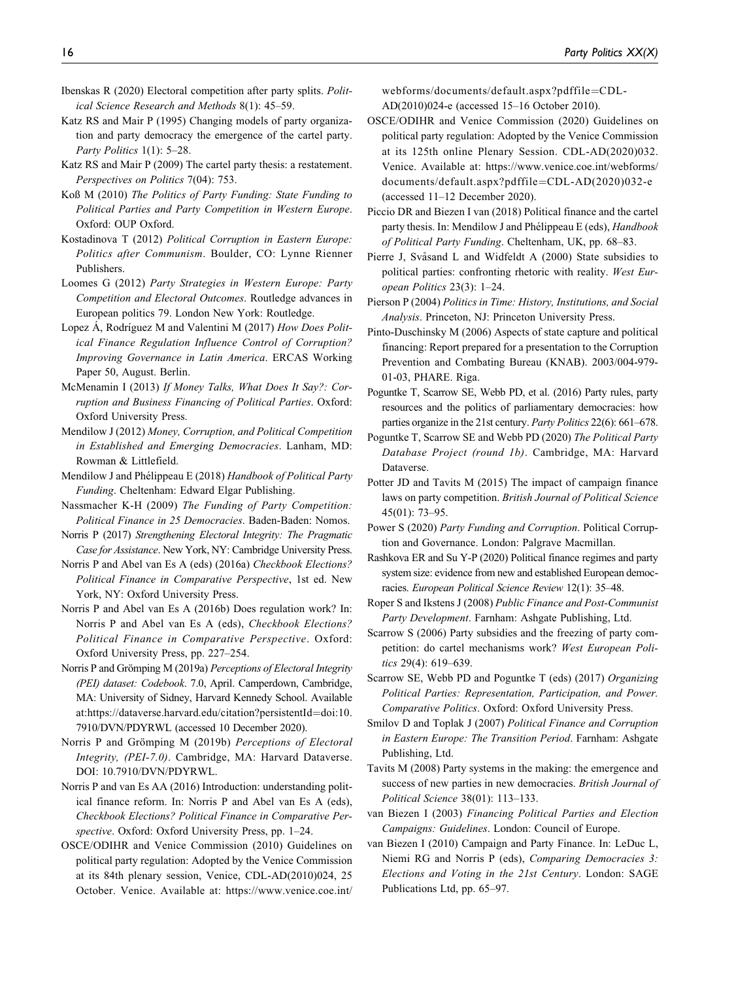- <span id="page-15-0"></span>Ibenskas R (2020) Electoral competition after party splits. Political Science Research and Methods 8(1): 45–59.
- Katz RS and Mair P (1995) Changing models of party organization and party democracy the emergence of the cartel party. Party Politics 1(1): 5-28.
- Katz RS and Mair P (2009) The cartel party thesis: a restatement. Perspectives on Politics 7(04): 753.
- Koß M (2010) The Politics of Party Funding: State Funding to Political Parties and Party Competition in Western Europe. Oxford: OUP Oxford.
- Kostadinova T (2012) Political Corruption in Eastern Europe: Politics after Communism. Boulder, CO: Lynne Rienner Publishers.
- Loomes G (2012) Party Strategies in Western Europe: Party Competition and Electoral Outcomes. Routledge advances in European politics 79. London New York: Routledge.
- Lopez A, Rodríguez M and Valentini M (2017) How Does Political Finance Regulation Influence Control of Corruption? Improving Governance in Latin America. ERCAS Working Paper 50, August. Berlin.
- McMenamin I (2013) If Money Talks, What Does It Say?: Corruption and Business Financing of Political Parties. Oxford: Oxford University Press.
- Mendilow J (2012) Money, Corruption, and Political Competition in Established and Emerging Democracies. Lanham, MD: Rowman & Littlefield.
- Mendilow J and Phélippeau E (2018) Handbook of Political Party Funding. Cheltenham: Edward Elgar Publishing.
- Nassmacher K-H (2009) The Funding of Party Competition: Political Finance in 25 Democracies. Baden-Baden: Nomos.
- Norris P (2017) Strengthening Electoral Integrity: The Pragmatic Case for Assistance. New York, NY: Cambridge University Press.
- Norris P and Abel van Es A (eds) (2016a) Checkbook Elections? Political Finance in Comparative Perspective, 1st ed. New York, NY: Oxford University Press.
- Norris P and Abel van Es A (2016b) Does regulation work? In: Norris P and Abel van Es A (eds), Checkbook Elections? Political Finance in Comparative Perspective. Oxford: Oxford University Press, pp. 227–254.
- Norris P and Grömping M (2019a) Perceptions of Electoral Integrity (PEI) dataset: Codebook. 7.0, April. Camperdown, Cambridge, MA: University of Sidney, Harvard Kennedy School. Available at:[https://dataverse.harvard.edu/citation?persistentId](https://dataverse.harvard.edu/citation?persistentId=doi:10.7910/DVN/PDYRWL)=[doi:10.](https://dataverse.harvard.edu/citation?persistentId=doi:10.7910/DVN/PDYRWL) [7910/DVN/PDYRWL](https://dataverse.harvard.edu/citation?persistentId=doi:10.7910/DVN/PDYRWL) (accessed 10 December 2020).
- Norris P and Grömping M (2019b) Perceptions of Electoral Integrity, (PEI-7.0). Cambridge, MA: Harvard Dataverse. DOI: 10.7910/DVN/PDYRWL.
- Norris P and van Es AA (2016) Introduction: understanding political finance reform. In: Norris P and Abel van Es A (eds), Checkbook Elections? Political Finance in Comparative Perspective. Oxford: Oxford University Press, pp. 1–24.
- OSCE/ODIHR and Venice Commission (2010) Guidelines on political party regulation: Adopted by the Venice Commission at its 84th plenary session, Venice, CDL-AD(2010)024, 25 October. Venice. Available at: [https://www.venice.coe.int/](https://www.venice.coe.int/webforms/documents/default.aspx?pdffile=CDL-AD(2010)024-e)

[webforms/documents/default.aspx?pdffile](https://www.venice.coe.int/webforms/documents/default.aspx?pdffile=CDL-AD(2010)024-e)=[CDL-](https://www.venice.coe.int/webforms/documents/default.aspx?pdffile=CDL-AD(2010)024-e)[AD\(2010\)024-e](https://www.venice.coe.int/webforms/documents/default.aspx?pdffile=CDL-AD(2010)024-e) (accessed 15–16 October 2010).

- OSCE/ODIHR and Venice Commission (2020) Guidelines on political party regulation: Adopted by the Venice Commission at its 125th online Plenary Session. CDL-AD(2020)032. Venice. Available at: [https://www.venice.coe.int/webforms/](https://www.venice.coe.int/webforms/documents/default.aspx?pdffile=CDL-AD(2020)032-e) [documents/default.aspx?pdffile](https://www.venice.coe.int/webforms/documents/default.aspx?pdffile=CDL-AD(2020)032-e)=[CDL-AD\(2020\)032-e](https://www.venice.coe.int/webforms/documents/default.aspx?pdffile=CDL-AD(2020)032-e) (accessed 11–12 December 2020).
- Piccio DR and Biezen I van (2018) Political finance and the cartel party thesis. In: Mendilow J and Phélippeau E (eds), Handbook of Political Party Funding. Cheltenham, UK, pp. 68–83.
- Pierre J, Svåsand L and Widfeldt A (2000) State subsidies to political parties: confronting rhetoric with reality. West European Politics 23(3): 1–24.
- Pierson P (2004) Politics in Time: History, Institutions, and Social Analysis. Princeton, NJ: Princeton University Press.
- Pinto-Duschinsky M (2006) Aspects of state capture and political financing: Report prepared for a presentation to the Corruption Prevention and Combating Bureau (KNAB). 2003/004-979- 01-03, PHARE. Riga.
- Poguntke T, Scarrow SE, Webb PD, et al. (2016) Party rules, party resources and the politics of parliamentary democracies: how parties organize in the 21st century. Party Politics 22(6): 661–678.
- Poguntke T, Scarrow SE and Webb PD (2020) The Political Party Database Project (round 1b). Cambridge, MA: Harvard Dataverse.
- Potter JD and Tavits M (2015) The impact of campaign finance laws on party competition. British Journal of Political Science 45(01): 73–95.
- Power S (2020) Party Funding and Corruption. Political Corruption and Governance. London: Palgrave Macmillan.
- Rashkova ER and Su Y-P (2020) Political finance regimes and party system size: evidence from new and established European democracies. European Political Science Review 12(1): 35–48.
- Roper S and Ikstens J (2008) Public Finance and Post-Communist Party Development. Farnham: Ashgate Publishing, Ltd.
- Scarrow S (2006) Party subsidies and the freezing of party competition: do cartel mechanisms work? West European Politics 29(4): 619–639.
- Scarrow SE, Webb PD and Poguntke T (eds) (2017) Organizing Political Parties: Representation, Participation, and Power. Comparative Politics. Oxford: Oxford University Press.
- Smilov D and Toplak J (2007) Political Finance and Corruption in Eastern Europe: The Transition Period. Farnham: Ashgate Publishing, Ltd.
- Tavits M (2008) Party systems in the making: the emergence and success of new parties in new democracies. British Journal of Political Science 38(01): 113–133.
- van Biezen I (2003) Financing Political Parties and Election Campaigns: Guidelines. London: Council of Europe.
- van Biezen I (2010) Campaign and Party Finance. In: LeDuc L, Niemi RG and Norris P (eds), Comparing Democracies 3: Elections and Voting in the 21st Century. London: SAGE Publications Ltd, pp. 65–97.